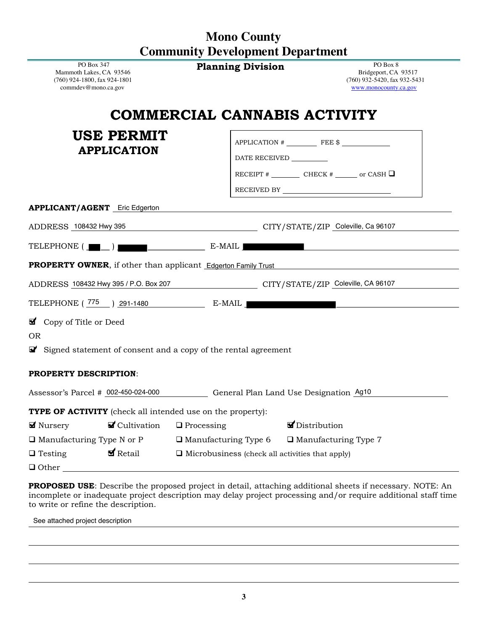## **Mono County Community Development Department**

**Planning Division** PO Box 8

PO Box 347 Mammoth Lakes, CA 93546 (760) 924-1800, fax 924-1801 commdev@mono.ca.gov

#### Bridgeport, CA 93517 (760) 932-5420, fax 932-5431 www.monocounty.ca.gov

# **COMMERCIAL CANNABIS ACTIVITY**

| <b>USE PERMIT</b><br><b>APPLICATION</b>                                                  | $APPLICATION$ $EEE$ $\$$ $I$<br>DATE RECEIVED __________<br>RECEIVED BY $\overline{\phantom{a}}$ |
|------------------------------------------------------------------------------------------|--------------------------------------------------------------------------------------------------|
| <b>APPLICANT/AGENT</b> Eric Edgerton                                                     |                                                                                                  |
| ADDRESS 108432 Hwy 395 CITY/STATE/ZIP Coleville, Ca 96107                                |                                                                                                  |
| TELEPHONE $(\blacksquare \blacksquare \ldots)$ $\blacksquare$                            |                                                                                                  |
| <b>PROPERTY OWNER</b> , if other than applicant Edgerton Family Trust                    |                                                                                                  |
| ADDRESS 108432 Hwy 395 / P.O. Box 207 CITY/STATE/ZIP Coleville, CA 96107                 |                                                                                                  |
| TELEPHONE (775 ) 291-1480 E-MAIL                                                         |                                                                                                  |
| Copy of Title or Deed                                                                    |                                                                                                  |
| <b>OR</b>                                                                                |                                                                                                  |
| $\mathbf{\mathcal{F}}$ Signed statement of consent and a copy of the rental agreement    |                                                                                                  |
| <b>PROPERTY DESCRIPTION:</b>                                                             |                                                                                                  |
| Assessor's Parcel # 002-450-024-000 General Plan Land Use Designation Ag10               |                                                                                                  |
| <b>TYPE OF ACTIVITY</b> (check all intended use on the property):                        |                                                                                                  |
| <b>Ø</b> Nursery<br>$\blacksquare$ Cultivation $\blacksquare$ Processing                 | Distribution                                                                                     |
| $\Box$ Manufacturing Type N or P $\Box$ Manufacturing Type 6 $\Box$ Manufacturing Type 7 |                                                                                                  |
| $\Box$ Testing                                                                           | $\blacktriangleright$ Retail $\Box$ Microbusiness (check all activities that apply)              |
|                                                                                          |                                                                                                  |

❑ Other

**PROPOSED USE**: Describe the proposed project in detail, attaching additional sheets if necessary. NOTE: An incomplete or inadequate project description may delay project processing and/or require additional staff time to write or refine the description.

See attached project description